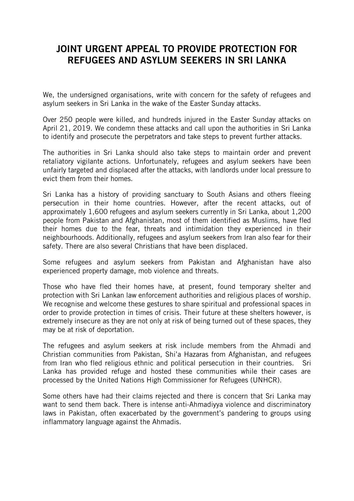## JOINT URGENT APPEAL TO PROVIDE PROTECTION FOR REFUGEES AND ASYLUM SEEKERS IN SRI LANKA

We, the undersigned organisations, write with concern for the safety of refugees and asylum seekers in Sri Lanka in the wake of the Easter Sunday attacks.

Over 250 people were killed, and hundreds injured in the Easter Sunday attacks on April 21, 2019. We condemn these attacks and call upon the authorities in Sri Lanka to identify and prosecute the perpetrators and take steps to prevent further attacks.

The authorities in Sri Lanka should also take steps to maintain order and prevent retaliatory vigilante actions. Unfortunately, refugees and asylum seekers have been unfairly targeted and displaced after the attacks, with landlords under local pressure to evict them from their homes.

Sri Lanka has a history of providing sanctuary to South Asians and others fleeing persecution in their home countries. However, after the recent attacks, out of approximately 1,600 refugees and asylum seekers currently in Sri Lanka, about 1,200 people from Pakistan and Afghanistan, most of them identified as Muslims, have fled their homes due to the fear, threats and intimidation they experienced in their neighbourhoods. Additionally, refugees and asylum seekers from Iran also fear for their safety. There are also several Christians that have been displaced.

Some refugees and asylum seekers from Pakistan and Afghanistan have also experienced property damage, mob violence and threats.

Those who have fled their homes have, at present, found temporary shelter and protection with Sri Lankan law enforcement authorities and religious places of worship. We recognise and welcome these gestures to share spiritual and professional spaces in order to provide protection in times of crisis. Their future at these shelters however, is extremely insecure as they are not only at risk of being turned out of these spaces, they may be at risk of deportation.

The refugees and asylum seekers at risk include members from the Ahmadi and Christian communities from Pakistan, Shi'a Hazaras from Afghanistan, and refugees from Iran who fled religious ethnic and political persecution in their countries. Sri Lanka has provided refuge and hosted these communities while their cases are processed by the United Nations High Commissioner for Refugees (UNHCR).

Some others have had their claims rejected and there is concern that Sri Lanka may want to send them back. There is intense anti-Ahmadiyya violence and discriminatory laws in Pakistan, often exacerbated by the government's pandering to groups using inflammatory language against the Ahmadis.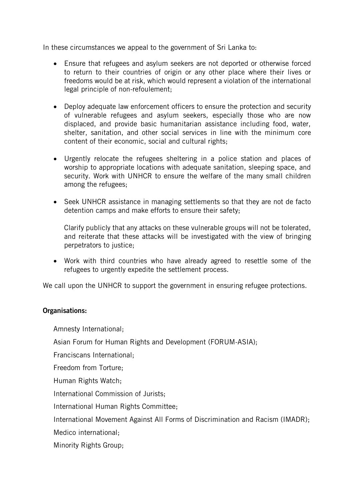In these circumstances we appeal to the government of Sri Lanka to:

- Ensure that refugees and asylum seekers are not deported or otherwise forced to return to their countries of origin or any other place where their lives or freedoms would be at risk, which would represent a violation of the international legal principle of non-refoulement;
- Deploy adequate law enforcement officers to ensure the protection and security of vulnerable refugees and asylum seekers, especially those who are now displaced, and provide basic humanitarian assistance including food, water, shelter, sanitation, and other social services in line with the minimum core content of their economic, social and cultural rights;
- Urgently relocate the refugees sheltering in a police station and places of worship to appropriate locations with adequate sanitation, sleeping space, and security. Work with UNHCR to ensure the welfare of the many small children among the refugees;
- Seek UNHCR assistance in managing settlements so that they are not de facto detention camps and make efforts to ensure their safety;

Clarify publicly that any attacks on these vulnerable groups will not be tolerated, and reiterate that these attacks will be investigated with the view of bringing perpetrators to justice:

• Work with third countries who have already agreed to resettle some of the refugees to urgently expedite the settlement process.

We call upon the UNHCR to support the government in ensuring refugee protections.

## Organisations:

Amnesty International;

Asian Forum for Human Rights and Development (FORUM-ASIA);

Franciscans International;

Freedom from Torture;

Human Rights Watch;

International Commission of Jurists;

International Human Rights Committee;

International Movement Against All Forms of Discrimination and Racism (IMADR);

Medico international;

Minority Rights Group;